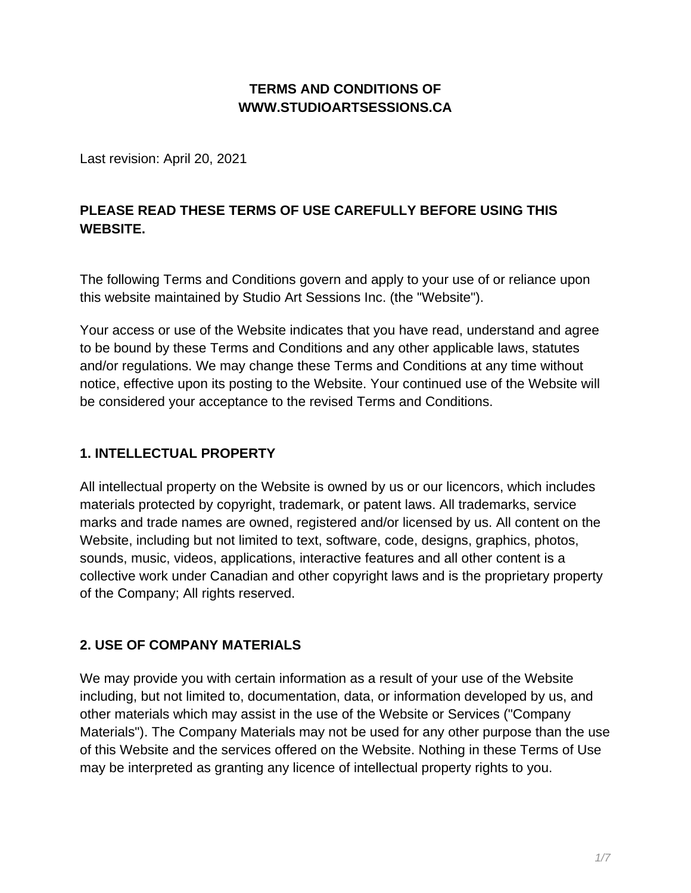# **TERMS AND CONDITIONS OF WWW.STUDIOARTSESSIONS.CA**

Last revision: April 20, 2021

# **PLEASE READ THESE TERMS OF USE CAREFULLY BEFORE USING THIS WEBSITE.**

The following Terms and Conditions govern and apply to your use of or reliance upon this website maintained by Studio Art Sessions Inc. (the "Website").

Your access or use of the Website indicates that you have read, understand and agree to be bound by these Terms and Conditions and any other applicable laws, statutes and/or regulations. We may change these Terms and Conditions at any time without notice, effective upon its posting to the Website. Your continued use of the Website will be considered your acceptance to the revised Terms and Conditions.

### **1. INTELLECTUAL PROPERTY**

All intellectual property on the Website is owned by us or our licencors, which includes materials protected by copyright, trademark, or patent laws. All trademarks, service marks and trade names are owned, registered and/or licensed by us. All content on the Website, including but not limited to text, software, code, designs, graphics, photos, sounds, music, videos, applications, interactive features and all other content is a collective work under Canadian and other copyright laws and is the proprietary property of the Company; All rights reserved.

#### **2. USE OF COMPANY MATERIALS**

We may provide you with certain information as a result of your use of the Website including, but not limited to, documentation, data, or information developed by us, and other materials which may assist in the use of the Website or Services ("Company Materials"). The Company Materials may not be used for any other purpose than the use of this Website and the services offered on the Website. Nothing in these Terms of Use may be interpreted as granting any licence of intellectual property rights to you.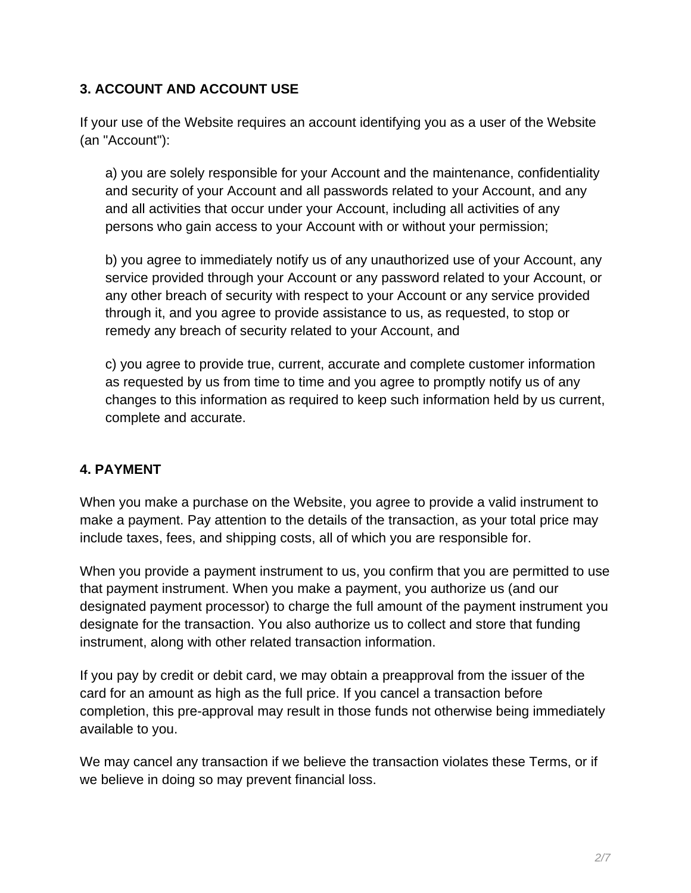### **3. ACCOUNT AND ACCOUNT USE**

If your use of the Website requires an account identifying you as a user of the Website (an "Account"):

a) you are solely responsible for your Account and the maintenance, confidentiality and security of your Account and all passwords related to your Account, and any and all activities that occur under your Account, including all activities of any persons who gain access to your Account with or without your permission;

b) you agree to immediately notify us of any unauthorized use of your Account, any service provided through your Account or any password related to your Account, or any other breach of security with respect to your Account or any service provided through it, and you agree to provide assistance to us, as requested, to stop or remedy any breach of security related to your Account, and

c) you agree to provide true, current, accurate and complete customer information as requested by us from time to time and you agree to promptly notify us of any changes to this information as required to keep such information held by us current, complete and accurate.

### **4. PAYMENT**

When you make a purchase on the Website, you agree to provide a valid instrument to make a payment. Pay attention to the details of the transaction, as your total price may include taxes, fees, and shipping costs, all of which you are responsible for.

When you provide a payment instrument to us, you confirm that you are permitted to use that payment instrument. When you make a payment, you authorize us (and our designated payment processor) to charge the full amount of the payment instrument you designate for the transaction. You also authorize us to collect and store that funding instrument, along with other related transaction information.

If you pay by credit or debit card, we may obtain a preapproval from the issuer of the card for an amount as high as the full price. If you cancel a transaction before completion, this pre-approval may result in those funds not otherwise being immediately available to you.

We may cancel any transaction if we believe the transaction violates these Terms, or if we believe in doing so may prevent financial loss.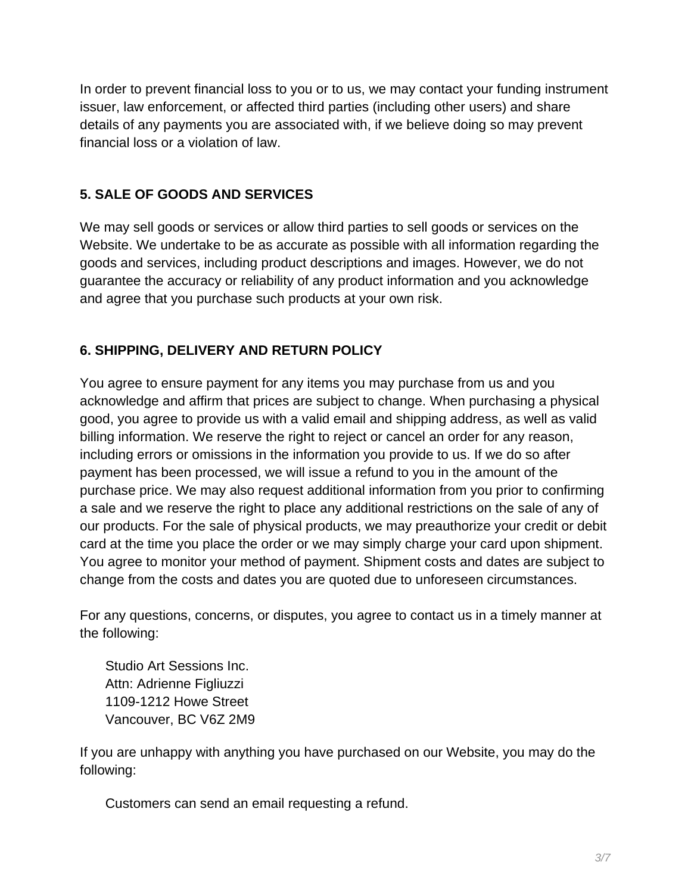In order to prevent financial loss to you or to us, we may contact your funding instrument issuer, law enforcement, or affected third parties (including other users) and share details of any payments you are associated with, if we believe doing so may prevent financial loss or a violation of law.

# **5. SALE OF GOODS AND SERVICES**

We may sell goods or services or allow third parties to sell goods or services on the Website. We undertake to be as accurate as possible with all information regarding the goods and services, including product descriptions and images. However, we do not guarantee the accuracy or reliability of any product information and you acknowledge and agree that you purchase such products at your own risk.

# **6. SHIPPING, DELIVERY AND RETURN POLICY**

You agree to ensure payment for any items you may purchase from us and you acknowledge and affirm that prices are subject to change. When purchasing a physical good, you agree to provide us with a valid email and shipping address, as well as valid billing information. We reserve the right to reject or cancel an order for any reason, including errors or omissions in the information you provide to us. If we do so after payment has been processed, we will issue a refund to you in the amount of the purchase price. We may also request additional information from you prior to confirming a sale and we reserve the right to place any additional restrictions on the sale of any of our products. For the sale of physical products, we may preauthorize your credit or debit card at the time you place the order or we may simply charge your card upon shipment. You agree to monitor your method of payment. Shipment costs and dates are subject to change from the costs and dates you are quoted due to unforeseen circumstances.

For any questions, concerns, or disputes, you agree to contact us in a timely manner at the following:

Studio Art Sessions Inc. Attn: Adrienne Figliuzzi 1109-1212 Howe Street Vancouver, BC V6Z 2M9

If you are unhappy with anything you have purchased on our Website, you may do the following:

Customers can send an email requesting a refund.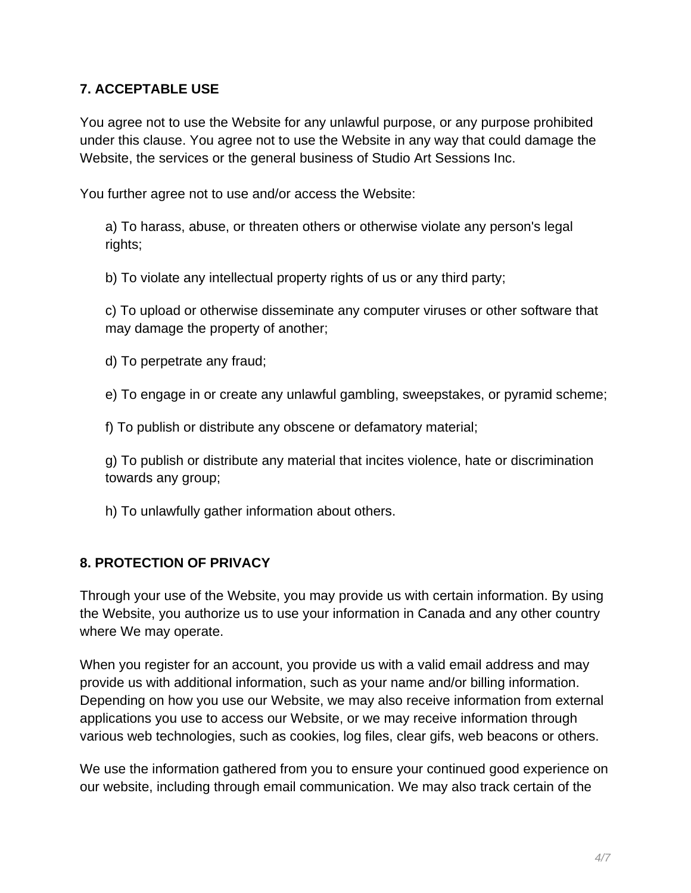#### **7. ACCEPTABLE USE**

You agree not to use the Website for any unlawful purpose, or any purpose prohibited under this clause. You agree not to use the Website in any way that could damage the Website, the services or the general business of Studio Art Sessions Inc.

You further agree not to use and/or access the Website:

a) To harass, abuse, or threaten others or otherwise violate any person's legal rights;

b) To violate any intellectual property rights of us or any third party;

c) To upload or otherwise disseminate any computer viruses or other software that may damage the property of another;

d) To perpetrate any fraud;

e) To engage in or create any unlawful gambling, sweepstakes, or pyramid scheme;

f) To publish or distribute any obscene or defamatory material;

g) To publish or distribute any material that incites violence, hate or discrimination towards any group;

h) To unlawfully gather information about others.

### **8. PROTECTION OF PRIVACY**

Through your use of the Website, you may provide us with certain information. By using the Website, you authorize us to use your information in Canada and any other country where We may operate.

When you register for an account, you provide us with a valid email address and may provide us with additional information, such as your name and/or billing information. Depending on how you use our Website, we may also receive information from external applications you use to access our Website, or we may receive information through various web technologies, such as cookies, log files, clear gifs, web beacons or others.

We use the information gathered from you to ensure your continued good experience on our website, including through email communication. We may also track certain of the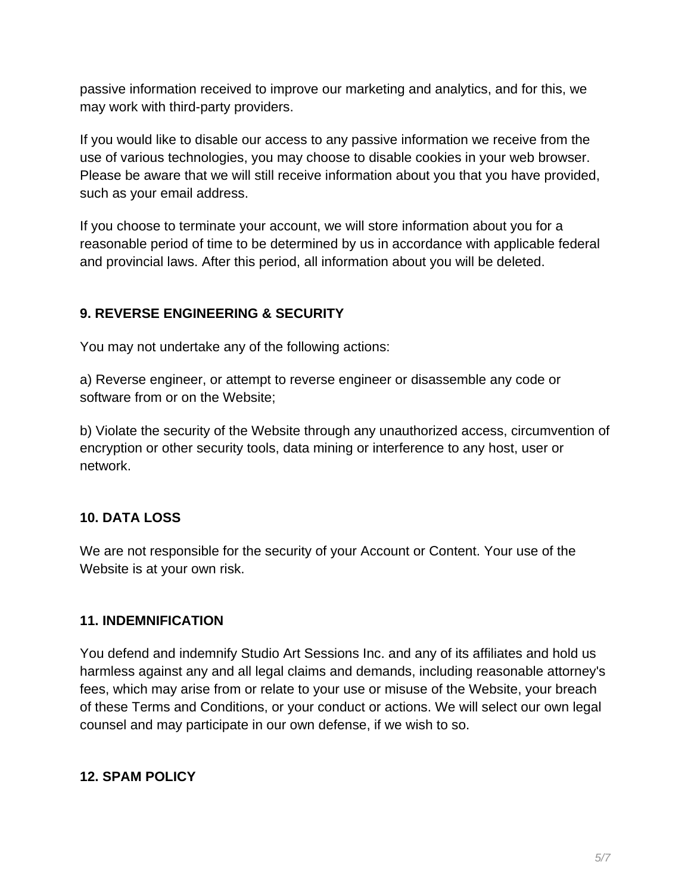passive information received to improve our marketing and analytics, and for this, we may work with third-party providers.

If you would like to disable our access to any passive information we receive from the use of various technologies, you may choose to disable cookies in your web browser. Please be aware that we will still receive information about you that you have provided, such as your email address.

If you choose to terminate your account, we will store information about you for a reasonable period of time to be determined by us in accordance with applicable federal and provincial laws. After this period, all information about you will be deleted.

# **9. REVERSE ENGINEERING & SECURITY**

You may not undertake any of the following actions:

a) Reverse engineer, or attempt to reverse engineer or disassemble any code or software from or on the Website;

b) Violate the security of the Website through any unauthorized access, circumvention of encryption or other security tools, data mining or interference to any host, user or network.

### **10. DATA LOSS**

We are not responsible for the security of your Account or Content. Your use of the Website is at your own risk.

#### **11. INDEMNIFICATION**

You defend and indemnify Studio Art Sessions Inc. and any of its affiliates and hold us harmless against any and all legal claims and demands, including reasonable attorney's fees, which may arise from or relate to your use or misuse of the Website, your breach of these Terms and Conditions, or your conduct or actions. We will select our own legal counsel and may participate in our own defense, if we wish to so.

### **12. SPAM POLICY**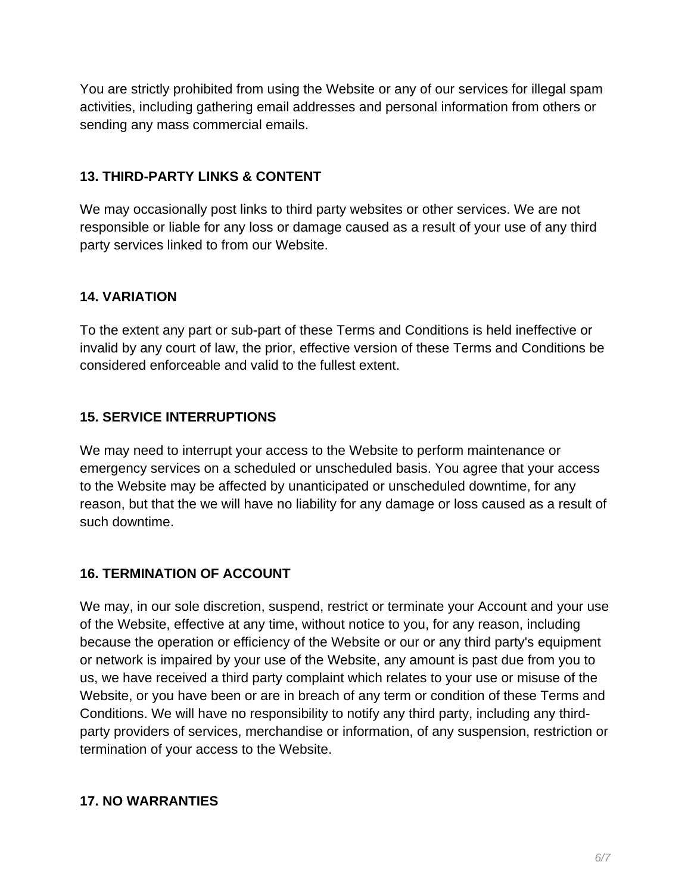You are strictly prohibited from using the Website or any of our services for illegal spam activities, including gathering email addresses and personal information from others or sending any mass commercial emails.

### **13. THIRD-PARTY LINKS & CONTENT**

We may occasionally post links to third party websites or other services. We are not responsible or liable for any loss or damage caused as a result of your use of any third party services linked to from our Website.

### **14. VARIATION**

To the extent any part or sub-part of these Terms and Conditions is held ineffective or invalid by any court of law, the prior, effective version of these Terms and Conditions be considered enforceable and valid to the fullest extent.

### **15. SERVICE INTERRUPTIONS**

We may need to interrupt your access to the Website to perform maintenance or emergency services on a scheduled or unscheduled basis. You agree that your access to the Website may be affected by unanticipated or unscheduled downtime, for any reason, but that the we will have no liability for any damage or loss caused as a result of such downtime.

#### **16. TERMINATION OF ACCOUNT**

We may, in our sole discretion, suspend, restrict or terminate your Account and your use of the Website, effective at any time, without notice to you, for any reason, including because the operation or efficiency of the Website or our or any third party's equipment or network is impaired by your use of the Website, any amount is past due from you to us, we have received a third party complaint which relates to your use or misuse of the Website, or you have been or are in breach of any term or condition of these Terms and Conditions. We will have no responsibility to notify any third party, including any thirdparty providers of services, merchandise or information, of any suspension, restriction or termination of your access to the Website.

#### **17. NO WARRANTIES**